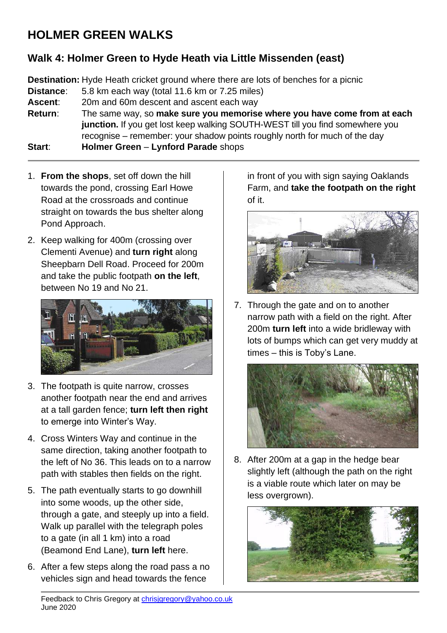## **HOLMER GREEN WALKS**

## **Walk 4: Holmer Green to Hyde Heath via Little Missenden (east)**

**Destination:** Hyde Heath cricket ground where there are lots of benches for a picnic

**Distance**: 5.8 km each way (total 11.6 km or 7.25 miles)

**Ascent**: 20m and 60m descent and ascent each way

**Return**: The same way, so **make sure you memorise where you have come from at each junction.** If you get lost keep walking SOUTH-WEST till you find somewhere you recognise – remember: your shadow points roughly north for much of the day

**Start**: **Holmer Green** – **Lynford Parade** shops

- 1. **From the shops**, set off down the hill towards the pond, crossing Earl Howe Road at the crossroads and continue straight on towards the bus shelter along Pond Approach.
- 2. Keep walking for 400m (crossing over Clementi Avenue) and **turn right** along Sheepbarn Dell Road. Proceed for 200m and take the public footpath **on the left**, between No 19 and No 21.



- 3. The footpath is quite narrow, crosses another footpath near the end and arrives at a tall garden fence; **turn left then right** to emerge into Winter's Way.
- 4. Cross Winters Way and continue in the same direction, taking another footpath to the left of No 36. This leads on to a narrow path with stables then fields on the right.
- 5. The path eventually starts to go downhill into some woods, up the other side, through a gate, and steeply up into a field. Walk up parallel with the telegraph poles to a gate (in all 1 km) into a road (Beamond End Lane), **turn left** here.
- 6. After a few steps along the road pass a no vehicles sign and head towards the fence

in front of you with sign saying Oaklands Farm, and **take the footpath on the right** of it.



7. Through the gate and on to another narrow path with a field on the right. After 200m **turn left** into a wide bridleway with lots of bumps which can get very muddy at times – this is Toby's Lane.



8. After 200m at a gap in the hedge bear slightly left (although the path on the right is a viable route which later on may be less overgrown).